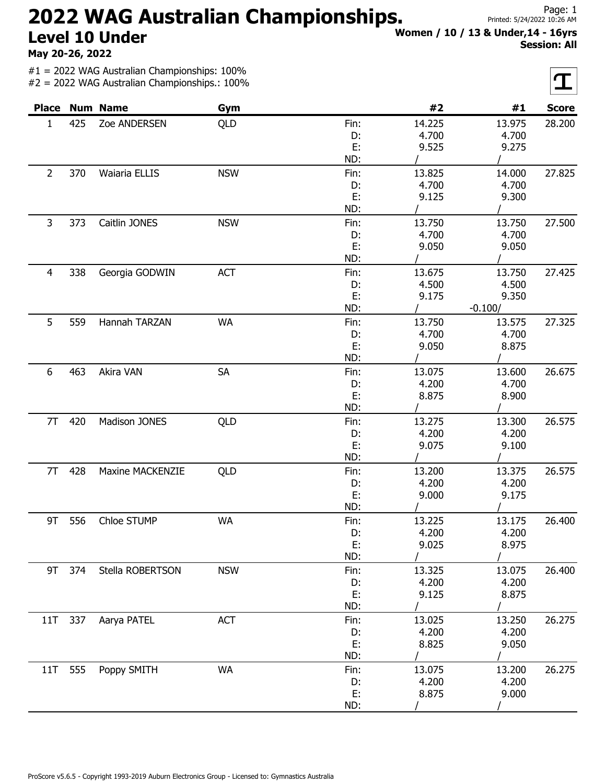## 2022 WAG Australian Championships. Level 10 Under

May 20-26, 2022

 $#1 = 2022$  WAG Australian Championships: 100%

|                |         | <b>Place Num Name</b>   | Gym        |      | #2     | #1        | <b>Score</b> |
|----------------|---------|-------------------------|------------|------|--------|-----------|--------------|
| 1              | 425     | Zoe ANDERSEN            | QLD        | Fin: | 14.225 | 13.975    | 28.200       |
|                |         |                         |            | D:   | 4.700  | 4.700     |              |
|                |         |                         |            | E:   | 9.525  | 9.275     |              |
|                |         |                         |            | ND:  |        |           |              |
| $\overline{2}$ | 370     | Waiaria ELLIS           | <b>NSW</b> | Fin: | 13.825 | 14.000    | 27.825       |
|                |         |                         |            | D:   | 4.700  | 4.700     |              |
|                |         |                         |            | E:   | 9.125  | 9.300     |              |
|                |         |                         |            | ND:  |        |           |              |
| 3              | 373     | Caitlin JONES           | <b>NSW</b> | Fin: | 13.750 | 13.750    | 27.500       |
|                |         |                         |            | D:   | 4.700  | 4.700     |              |
|                |         |                         |            | E:   | 9.050  | 9.050     |              |
|                |         |                         |            | ND:  |        |           |              |
| 4              | 338     | Georgia GODWIN          | <b>ACT</b> | Fin: | 13.675 | 13.750    | 27.425       |
|                |         |                         |            | D:   | 4.500  | 4.500     |              |
|                |         |                         |            | E:   | 9.175  | 9.350     |              |
|                |         |                         |            | ND:  |        | $-0.100/$ |              |
| 5              | 559     | Hannah TARZAN           | <b>WA</b>  | Fin: | 13.750 | 13.575    | 27.325       |
|                |         |                         |            | D:   | 4.700  | 4.700     |              |
|                |         |                         |            | E:   | 9.050  | 8.875     |              |
|                |         |                         |            | ND:  |        |           |              |
| 6              | 463     | Akira VAN               | SA         | Fin: | 13.075 | 13.600    | 26.675       |
|                |         |                         |            | D:   | 4.200  | 4.700     |              |
|                |         |                         |            | E:   | 8.875  | 8.900     |              |
|                |         |                         |            | ND:  |        |           |              |
| 7T             | 420     | Madison JONES           | QLD        | Fin: | 13.275 | 13.300    | 26.575       |
|                |         |                         |            | D:   | 4.200  | 4.200     |              |
|                |         |                         |            | E:   | 9.075  | 9.100     |              |
|                |         |                         |            | ND:  |        |           |              |
| 7T             | 428     | <b>Maxine MACKENZIE</b> | QLD        | Fin: | 13.200 | 13.375    | 26.575       |
|                |         |                         |            | D:   | 4.200  | 4.200     |              |
|                |         |                         |            | E:   | 9.000  | 9.175     |              |
|                |         |                         |            | ND:  |        |           |              |
| 9T             | 556     | Chloe STUMP             | WA         | Fin: | 13.225 | 13.175    | 26.400       |
|                |         |                         |            | D:   | 4.200  | 4.200     |              |
|                |         |                         |            | E:   | 9.025  | 8.975     |              |
|                |         |                         |            | ND:  |        |           |              |
| 9T             | 374     | Stella ROBERTSON        | <b>NSW</b> | Fin: | 13.325 | 13.075    | 26.400       |
|                |         |                         |            | D:   | 4.200  | 4.200     |              |
|                |         |                         |            | E:   | 9.125  | 8.875     |              |
|                |         |                         |            | ND:  |        |           |              |
| 11T            | 337     | Aarya PATEL             | ACT        | Fin: | 13.025 | 13.250    | 26.275       |
|                |         |                         |            | D:   | 4.200  | 4.200     |              |
|                |         |                         |            | E:   | 8.825  | 9.050     |              |
|                |         |                         |            | ND:  |        |           |              |
|                | 11T 555 | Poppy SMITH             | WA         | Fin: | 13.075 | 13.200    | 26.275       |
|                |         |                         |            | D:   | 4.200  | 4.200     |              |
|                |         |                         |            | E:   | 8.875  | 9.000     |              |
|                |         |                         |            | ND:  |        |           |              |



Page: 1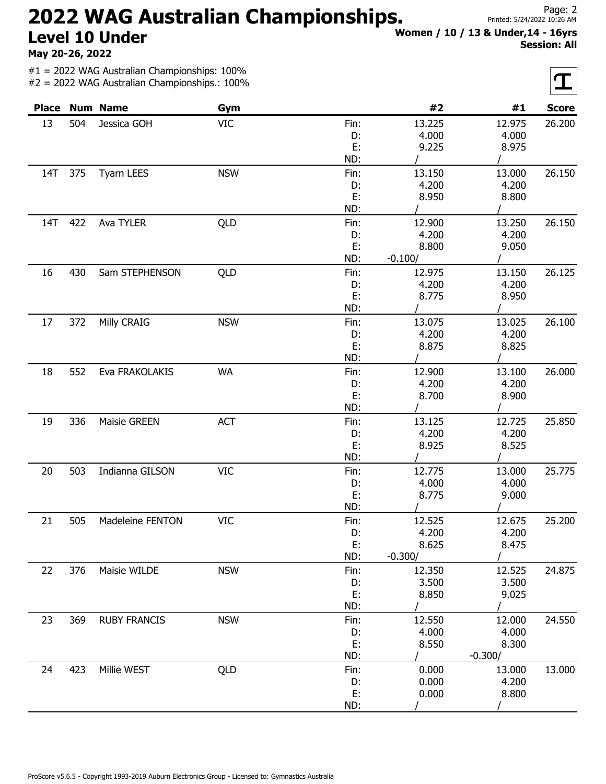## 2022 WAG Australian Championships. Level 10 Under

May 20-26, 2022

#1 = 2022 WAG Australian Championships: 100% #2 = 2022 WAG Australian Championships.: 100% Page: 2

 $\mathbf T$ 

|       | . uyu. z                            |
|-------|-------------------------------------|
| hips. | Printed: 5/24/2022 10:26 AM         |
|       | Women / 10 / 13 & Under, 14 - 16yrs |
|       | <b>Session: All</b>                 |
|       |                                     |
|       |                                     |

| <b>Place</b> |     | <b>Num Name</b>     | Gym        |      | #2        | #1        | <b>Score</b> |
|--------------|-----|---------------------|------------|------|-----------|-----------|--------------|
| 13           | 504 | Jessica GOH         | <b>VIC</b> | Fin: | 13.225    | 12.975    | 26.200       |
|              |     |                     |            | D:   | 4.000     | 4.000     |              |
|              |     |                     |            | E:   | 9.225     | 8.975     |              |
|              |     |                     |            | ND:  |           |           |              |
| 14T          | 375 | <b>Tyarn LEES</b>   | <b>NSW</b> | Fin: | 13.150    | 13.000    | 26.150       |
|              |     |                     |            | D:   | 4.200     | 4.200     |              |
|              |     |                     |            | E:   | 8.950     | 8.800     |              |
|              |     |                     |            | ND:  |           |           |              |
| 14T          | 422 | Ava TYLER           | QLD        | Fin: | 12.900    | 13.250    | 26.150       |
|              |     |                     |            | D:   | 4.200     | 4.200     |              |
|              |     |                     |            | E:   | 8.800     | 9.050     |              |
|              |     |                     |            | ND:  | $-0.100/$ |           |              |
| 16           | 430 | Sam STEPHENSON      | QLD        | Fin: | 12.975    | 13.150    | 26.125       |
|              |     |                     |            | D:   | 4.200     | 4.200     |              |
|              |     |                     |            | E:   | 8.775     | 8.950     |              |
|              |     |                     |            | ND:  |           |           |              |
| 17           | 372 | Milly CRAIG         | <b>NSW</b> | Fin: | 13.075    | 13.025    | 26.100       |
|              |     |                     |            | D:   | 4.200     | 4.200     |              |
|              |     |                     |            | E:   | 8.875     | 8.825     |              |
|              |     |                     |            | ND:  |           |           |              |
| 18           | 552 | Eva FRAKOLAKIS      | <b>WA</b>  | Fin: | 12.900    | 13.100    | 26.000       |
|              |     |                     |            | D:   | 4.200     | 4.200     |              |
|              |     |                     |            | E:   | 8.700     | 8.900     |              |
|              |     |                     |            | ND:  |           |           |              |
| 19           | 336 | Maisie GREEN        | <b>ACT</b> | Fin: | 13.125    | 12.725    | 25.850       |
|              |     |                     |            | D:   | 4.200     | 4.200     |              |
|              |     |                     |            | E:   | 8.925     | 8.525     |              |
|              |     |                     |            | ND:  |           |           |              |
| 20           | 503 | Indianna GILSON     | <b>VIC</b> | Fin: | 12.775    | 13.000    | 25.775       |
|              |     |                     |            | D:   | 4.000     | 4.000     |              |
|              |     |                     |            | E:   | 8.775     | 9.000     |              |
|              |     |                     |            | ND:  |           |           |              |
| 21           | 505 | Madeleine FENTON    | <b>VIC</b> | Fin: | 12.525    | 12.675    | 25.200       |
|              |     |                     |            | D:   | 4.200     | 4.200     |              |
|              |     |                     |            | E:   | 8.625     | 8.475     |              |
|              |     |                     |            | ND:  | $-0.300/$ |           |              |
| 22           | 376 | Maisie WILDE        | <b>NSW</b> | Fin: | 12.350    | 12.525    | 24.875       |
|              |     |                     |            | D:   | 3.500     | 3.500     |              |
|              |     |                     |            | E:   | 8.850     | 9.025     |              |
|              |     |                     |            | ND:  |           |           |              |
| 23           | 369 | <b>RUBY FRANCIS</b> | <b>NSW</b> | Fin: | 12.550    | 12.000    | 24.550       |
|              |     |                     |            | D:   | 4.000     | 4.000     |              |
|              |     |                     |            | E:   | 8.550     | 8.300     |              |
|              |     |                     |            | ND:  |           | $-0.300/$ |              |
| 24           | 423 | Millie WEST         | <b>QLD</b> | Fin: | 0.000     | 13.000    | 13.000       |
|              |     |                     |            | D:   | 0.000     | 4.200     |              |
|              |     |                     |            | E:   | 0.000     | 8.800     |              |
|              |     |                     |            | ND:  |           |           |              |
|              |     |                     |            |      |           |           |              |